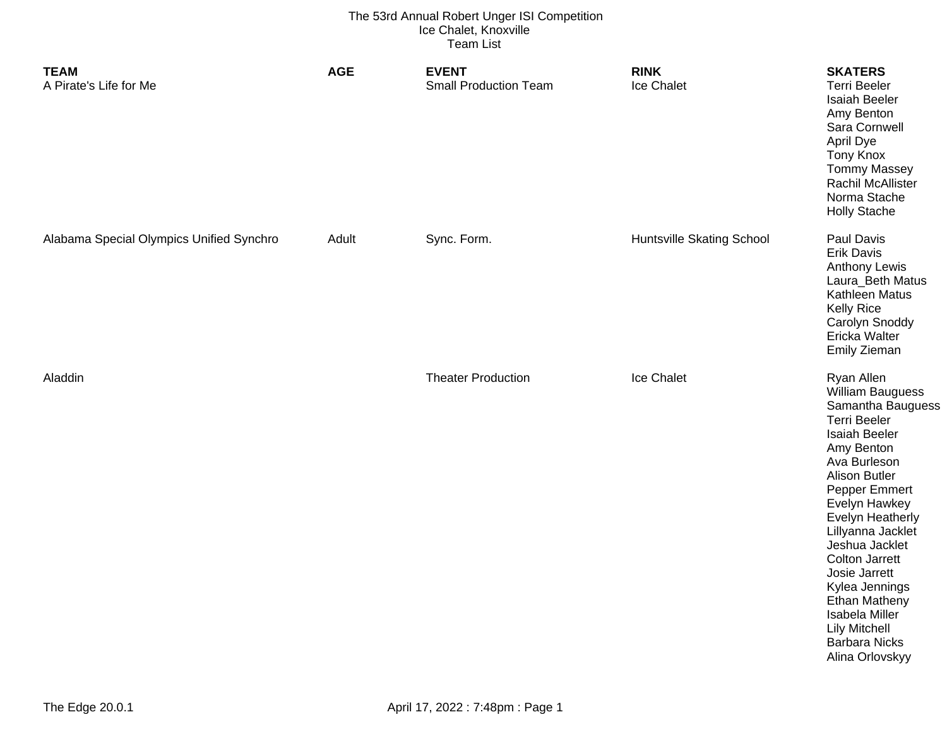| <b>TEAM</b><br>A Pirate's Life for Me    | <b>AGE</b> | <b>EVENT</b><br><b>Small Production Team</b> | <b>RINK</b><br>Ice Chalet        | <b>SKATERS</b><br><b>Terri Beeler</b><br><b>Isaiah Beeler</b><br>Amy Benton<br>Sara Cornwell<br>April Dye<br><b>Tony Knox</b><br><b>Tommy Massey</b><br>Rachil McAllister<br>Norma Stache<br><b>Holly Stache</b>                                                                                                                                                                                                               |
|------------------------------------------|------------|----------------------------------------------|----------------------------------|--------------------------------------------------------------------------------------------------------------------------------------------------------------------------------------------------------------------------------------------------------------------------------------------------------------------------------------------------------------------------------------------------------------------------------|
| Alabama Special Olympics Unified Synchro | Adult      | Sync. Form.                                  | <b>Huntsville Skating School</b> | Paul Davis<br>Erik Davis<br><b>Anthony Lewis</b><br>Laura_Beth Matus<br>Kathleen Matus<br><b>Kelly Rice</b><br>Carolyn Snoddy<br>Ericka Walter<br>Emily Zieman                                                                                                                                                                                                                                                                 |
| Aladdin                                  |            | <b>Theater Production</b>                    | Ice Chalet                       | Ryan Allen<br>William Bauguess<br>Samantha Bauguess<br><b>Terri Beeler</b><br><b>Isaiah Beeler</b><br>Amy Benton<br>Ava Burleson<br><b>Alison Butler</b><br>Pepper Emmert<br>Evelyn Hawkey<br><b>Evelyn Heatherly</b><br>Lillyanna Jacklet<br>Jeshua Jacklet<br><b>Colton Jarrett</b><br>Josie Jarrett<br>Kylea Jennings<br>Ethan Matheny<br>Isabela Miller<br><b>Lily Mitchell</b><br><b>Barbara Nicks</b><br>Alina Orlovskyy |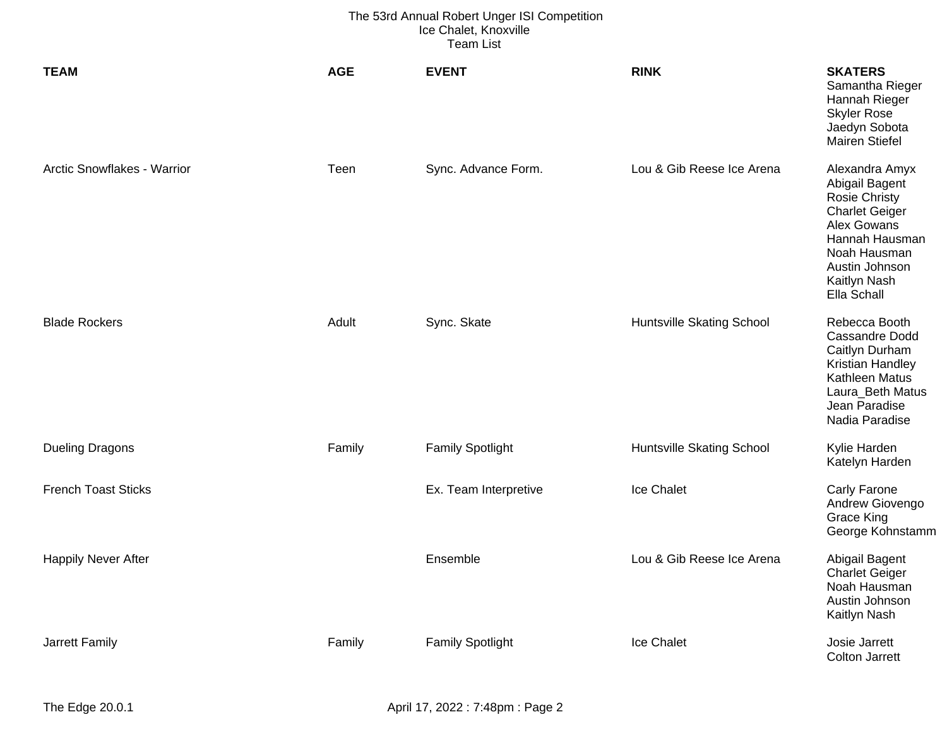| <b>TEAM</b>                 | <b>AGE</b> | <b>EVENT</b>            | <b>RINK</b>               | <b>SKATERS</b><br>Samantha Rieger<br>Hannah Rieger<br><b>Skyler Rose</b><br>Jaedyn Sobota<br><b>Mairen Stiefel</b>                                                                  |
|-----------------------------|------------|-------------------------|---------------------------|-------------------------------------------------------------------------------------------------------------------------------------------------------------------------------------|
| Arctic Snowflakes - Warrior | Teen       | Sync. Advance Form.     | Lou & Gib Reese Ice Arena | Alexandra Amyx<br>Abigail Bagent<br><b>Rosie Christy</b><br><b>Charlet Geiger</b><br>Alex Gowans<br>Hannah Hausman<br>Noah Hausman<br>Austin Johnson<br>Kaitlyn Nash<br>Ella Schall |
| <b>Blade Rockers</b>        | Adult      | Sync. Skate             | Huntsville Skating School | Rebecca Booth<br><b>Cassandre Dodd</b><br>Caitlyn Durham<br>Kristian Handley<br><b>Kathleen Matus</b><br>Laura_Beth Matus<br>Jean Paradise<br>Nadia Paradise                        |
| <b>Dueling Dragons</b>      | Family     | <b>Family Spotlight</b> | Huntsville Skating School | Kylie Harden<br>Katelyn Harden                                                                                                                                                      |
| <b>French Toast Sticks</b>  |            | Ex. Team Interpretive   | Ice Chalet                | Carly Farone<br>Andrew Giovengo<br><b>Grace King</b><br>George Kohnstamm                                                                                                            |
| <b>Happily Never After</b>  |            | Ensemble                | Lou & Gib Reese Ice Arena | Abigail Bagent<br><b>Charlet Geiger</b><br>Noah Hausman<br>Austin Johnson<br>Kaitlyn Nash                                                                                           |
| <b>Jarrett Family</b>       | Family     | <b>Family Spotlight</b> | Ice Chalet                | Josie Jarrett<br><b>Colton Jarrett</b>                                                                                                                                              |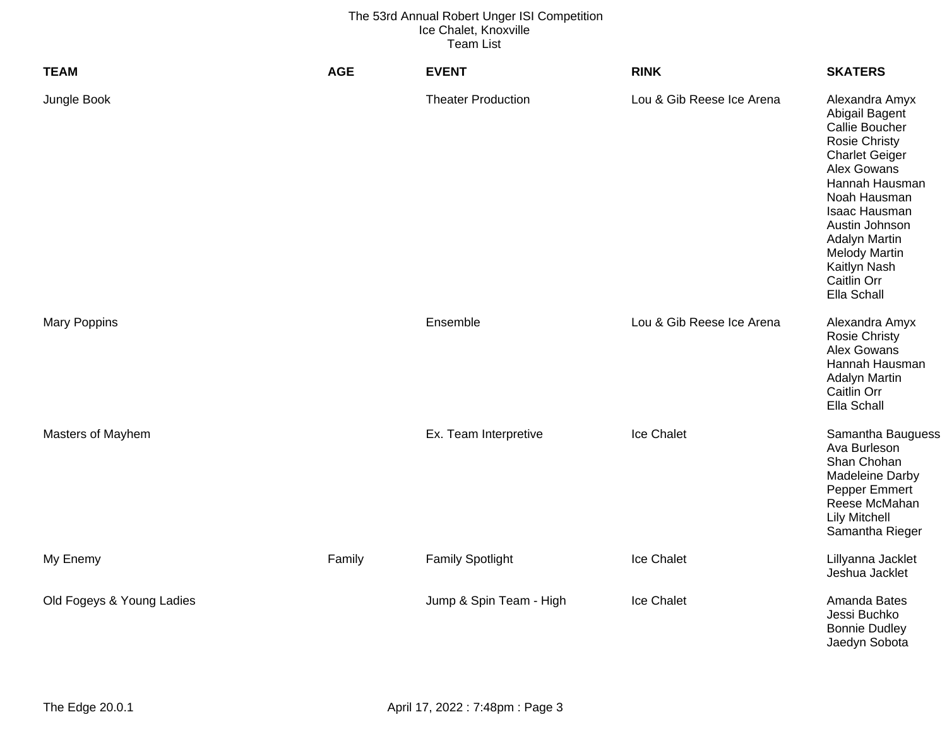| <b>TEAM</b>               | <b>AGE</b> | <b>EVENT</b>              | <b>RINK</b>               | <b>SKATERS</b>                                                                                                                                                                                                                                                                        |
|---------------------------|------------|---------------------------|---------------------------|---------------------------------------------------------------------------------------------------------------------------------------------------------------------------------------------------------------------------------------------------------------------------------------|
| Jungle Book               |            | <b>Theater Production</b> | Lou & Gib Reese Ice Arena | Alexandra Amyx<br>Abigail Bagent<br>Callie Boucher<br><b>Rosie Christy</b><br><b>Charlet Geiger</b><br>Alex Gowans<br>Hannah Hausman<br>Noah Hausman<br>Isaac Hausman<br>Austin Johnson<br><b>Adalyn Martin</b><br><b>Melody Martin</b><br>Kaitlyn Nash<br>Caitlin Orr<br>Ella Schall |
| <b>Mary Poppins</b>       |            | Ensemble                  | Lou & Gib Reese Ice Arena | Alexandra Amyx<br><b>Rosie Christy</b><br>Alex Gowans<br>Hannah Hausman<br><b>Adalyn Martin</b><br>Caitlin Orr<br>Ella Schall                                                                                                                                                         |
| Masters of Mayhem         |            | Ex. Team Interpretive     | Ice Chalet                | Samantha Bauguess<br>Ava Burleson<br>Shan Chohan<br>Madeleine Darby<br>Pepper Emmert<br>Reese McMahan<br><b>Lily Mitchell</b><br>Samantha Rieger                                                                                                                                      |
| My Enemy                  | Family     | <b>Family Spotlight</b>   | Ice Chalet                | Lillyanna Jacklet<br>Jeshua Jacklet                                                                                                                                                                                                                                                   |
| Old Fogeys & Young Ladies |            | Jump & Spin Team - High   | Ice Chalet                | Amanda Bates<br>Jessi Buchko<br><b>Bonnie Dudley</b><br>Jaedyn Sobota                                                                                                                                                                                                                 |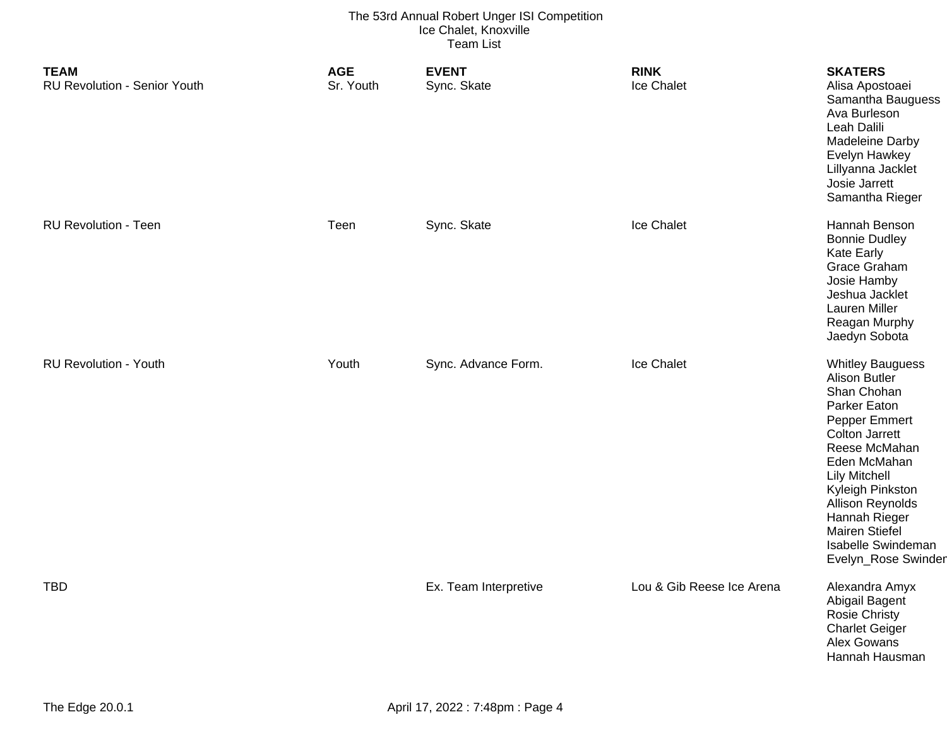| <b>TEAM</b><br><b>RU Revolution - Senior Youth</b> | <b>AGE</b><br>Sr. Youth | <b>EVENT</b><br>Sync. Skate | <b>RINK</b><br>Ice Chalet | <b>SKATERS</b><br>Alisa Apostoaei<br>Samantha Bauguess<br>Ava Burleson<br>Leah Dalili<br>Madeleine Darby<br>Evelyn Hawkey<br>Lillyanna Jacklet<br>Josie Jarrett<br>Samantha Rieger                                                                                                                               |
|----------------------------------------------------|-------------------------|-----------------------------|---------------------------|------------------------------------------------------------------------------------------------------------------------------------------------------------------------------------------------------------------------------------------------------------------------------------------------------------------|
| <b>RU Revolution - Teen</b>                        | Teen                    | Sync. Skate                 | Ice Chalet                | Hannah Benson<br><b>Bonnie Dudley</b><br><b>Kate Early</b><br>Grace Graham<br>Josie Hamby<br>Jeshua Jacklet<br>Lauren Miller<br>Reagan Murphy<br>Jaedyn Sobota                                                                                                                                                   |
| <b>RU Revolution - Youth</b>                       | Youth                   | Sync. Advance Form.         | Ice Chalet                | <b>Whitley Bauguess</b><br><b>Alison Butler</b><br>Shan Chohan<br>Parker Eaton<br>Pepper Emmert<br><b>Colton Jarrett</b><br>Reese McMahan<br>Eden McMahan<br><b>Lily Mitchell</b><br>Kyleigh Pinkston<br><b>Allison Reynolds</b><br>Hannah Rieger<br>Mairen Stiefel<br>Isabelle Swindeman<br>Evelyn_Rose Swinder |
| <b>TBD</b>                                         |                         | Ex. Team Interpretive       | Lou & Gib Reese Ice Arena | Alexandra Amyx<br>Abigail Bagent<br>Rosie Christy<br><b>Charlet Geiger</b><br>Alex Gowans<br>Hannah Hausman                                                                                                                                                                                                      |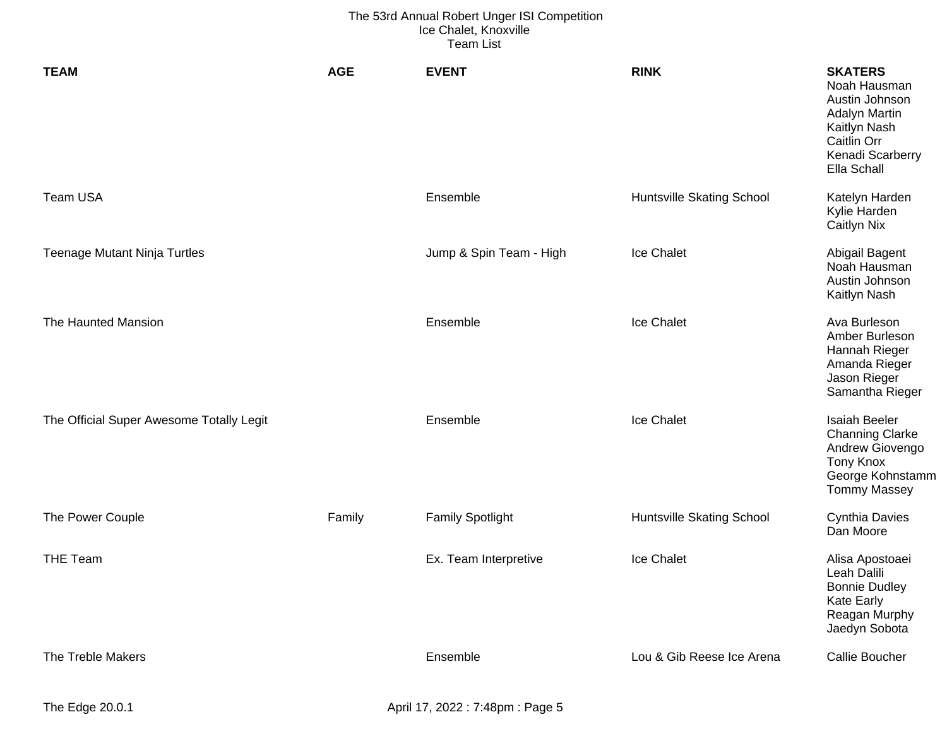| <b>TEAM</b>                              | <b>AGE</b> | <b>EVENT</b>            | <b>RINK</b>               | <b>SKATERS</b><br>Noah Hausman<br>Austin Johnson<br><b>Adalyn Martin</b><br>Kaitlyn Nash<br>Caitlin Orr<br>Kenadi Scarberry<br>Ella Schall |
|------------------------------------------|------------|-------------------------|---------------------------|--------------------------------------------------------------------------------------------------------------------------------------------|
| <b>Team USA</b>                          |            | Ensemble                | Huntsville Skating School | Katelyn Harden<br>Kylie Harden<br><b>Caitlyn Nix</b>                                                                                       |
| <b>Teenage Mutant Ninja Turtles</b>      |            | Jump & Spin Team - High | Ice Chalet                | Abigail Bagent<br>Noah Hausman<br>Austin Johnson<br>Kaitlyn Nash                                                                           |
| The Haunted Mansion                      |            | Ensemble                | Ice Chalet                | Ava Burleson<br>Amber Burleson<br>Hannah Rieger<br>Amanda Rieger<br>Jason Rieger<br>Samantha Rieger                                        |
| The Official Super Awesome Totally Legit |            | Ensemble                | Ice Chalet                | <b>Isaiah Beeler</b><br><b>Channing Clarke</b><br>Andrew Giovengo<br><b>Tony Knox</b><br>George Kohnstamm<br><b>Tommy Massey</b>           |
| The Power Couple                         | Family     | <b>Family Spotlight</b> | Huntsville Skating School | <b>Cynthia Davies</b><br>Dan Moore                                                                                                         |
| <b>THE Team</b>                          |            | Ex. Team Interpretive   | Ice Chalet                | Alisa Apostoaei<br>Leah Dalili<br><b>Bonnie Dudley</b><br><b>Kate Early</b><br>Reagan Murphy<br>Jaedyn Sobota                              |
| The Treble Makers                        |            | Ensemble                | Lou & Gib Reese Ice Arena | <b>Callie Boucher</b>                                                                                                                      |